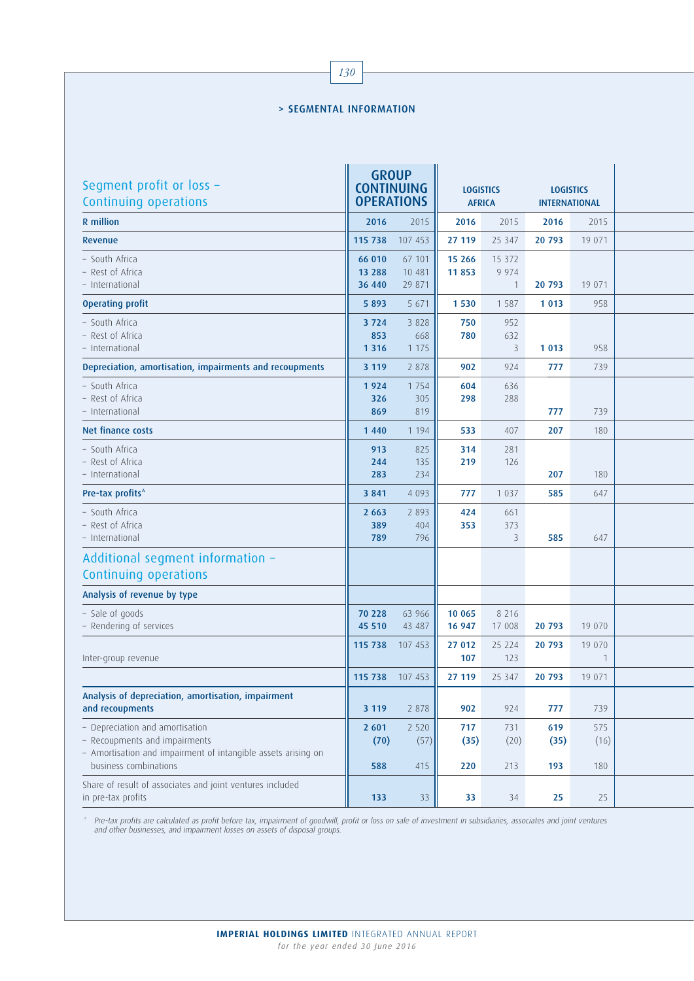## > SEGMENTAL INFORMATION

| Segment profit or loss -<br>Continuing operations                                                                                                          | <b>GROUP</b><br><b>CONTINUING</b><br><b>OPERATIONS</b> |                            | <b>LOGISTICS</b><br><b>AFRICA</b> |                                   | <b>LOGISTICS</b><br><b>INTERNATIONAL</b> |                    |  |
|------------------------------------------------------------------------------------------------------------------------------------------------------------|--------------------------------------------------------|----------------------------|-----------------------------------|-----------------------------------|------------------------------------------|--------------------|--|
| <b>R</b> million                                                                                                                                           | 2016                                                   | 2015                       | 2016                              | 2015                              | 2016                                     | 2015               |  |
| Revenue                                                                                                                                                    | 115 738                                                | 107 453                    | 27 119                            | 25 347                            | 20 793                                   | 19 071             |  |
| – South Africa<br>- Rest of Africa<br>- International                                                                                                      | 66 010<br>13 288<br>36 440                             | 67 101<br>10 481<br>29 871 | 15 26 6<br>11853                  | 15 372<br>9 9 7 4<br>$\mathbf{1}$ | 20 793                                   | 19 071             |  |
| <b>Operating profit</b>                                                                                                                                    | 5 8 9 3                                                | 5 6 7 1                    | 1 5 3 0                           | 1 5 8 7                           | 1 0 1 3                                  | 958                |  |
| - South Africa<br>– Rest of Africa<br>- International                                                                                                      | 3 7 2 4<br>853<br>1 3 1 6                              | 3 8 2 8<br>668<br>1 1 7 5  | 750<br>780                        | 952<br>632<br>3                   | 1 0 1 3                                  | 958                |  |
| Depreciation, amortisation, impairments and recoupments                                                                                                    | 3 1 1 9                                                | 2 8 7 8                    | 902                               | 924                               | 777                                      | 739                |  |
| - South Africa<br>- Rest of Africa<br>- International                                                                                                      | 1924<br>326<br>869                                     | 1 7 5 4<br>305<br>819      | 604<br>298                        | 636<br>288                        | 777                                      | 739                |  |
| Net finance costs                                                                                                                                          | 1 4 4 0                                                | 1 1 9 4                    | 533                               | 407                               | 207                                      | 180                |  |
| - South Africa<br>- Rest of Africa<br>– International                                                                                                      | 913<br>244<br>283                                      | 825<br>135<br>234          | 314<br>219                        | 281<br>126                        | 207                                      | 180                |  |
| Pre-tax profits*                                                                                                                                           | 3 8 4 1                                                | 4 0 9 3                    | 777                               | 1 0 3 7                           | 585                                      | 647                |  |
| - South Africa<br>- Rest of Africa<br>- International                                                                                                      | 2 6 6 3<br>389<br>789                                  | 2 8 9 3<br>404<br>796      | 424<br>353                        | 661<br>373<br>3                   | 585                                      | 647                |  |
| Additional segment information -<br>Continuing operations                                                                                                  |                                                        |                            |                                   |                                   |                                          |                    |  |
| Analysis of revenue by type                                                                                                                                |                                                        |                            |                                   |                                   |                                          |                    |  |
| - Sale of goods<br>- Rendering of services                                                                                                                 | 70 228<br>45 510                                       | 63 966<br>43 487           | 10 065<br>16 947                  | 8 2 1 6<br>17 008                 | 20 793                                   | 19 070             |  |
| Inter-group revenue                                                                                                                                        | 115 738                                                | 107 453                    | 27 012<br>107                     | 25 224<br>123                     | 20 793                                   | 19 070<br>1        |  |
|                                                                                                                                                            | 115 738                                                | 107 453                    | 27 119                            | 25 347                            | 20 793                                   | 19 071             |  |
| Analysis of depreciation, amortisation, impairment<br>and recoupments                                                                                      | 3 1 1 9                                                | 2 878                      | 902                               | 924                               | 777                                      | 739                |  |
| - Depreciation and amortisation<br>- Recoupments and impairments<br>- Amortisation and impairment of intangible assets arising on<br>business combinations | 2 601<br>(70)<br>588                                   | 2 5 2 0<br>(57)<br>415     | 717<br>(35)<br>220                | 731<br>(20)<br>213                | 619<br>(35)<br>193                       | 575<br>(16)<br>180 |  |
| Share of result of associates and joint ventures included<br>in pre-tax profits                                                                            | 133                                                    | 33                         | 33                                | 34                                | 25                                       | 25                 |  |

\* Pre-tax profits are calculated as profit before tax, impairment of goodwill, profit or loss on sale of investment in subsidiaries, associates and joint ventures and other businesses, and impairment losses on assets of disposal groups.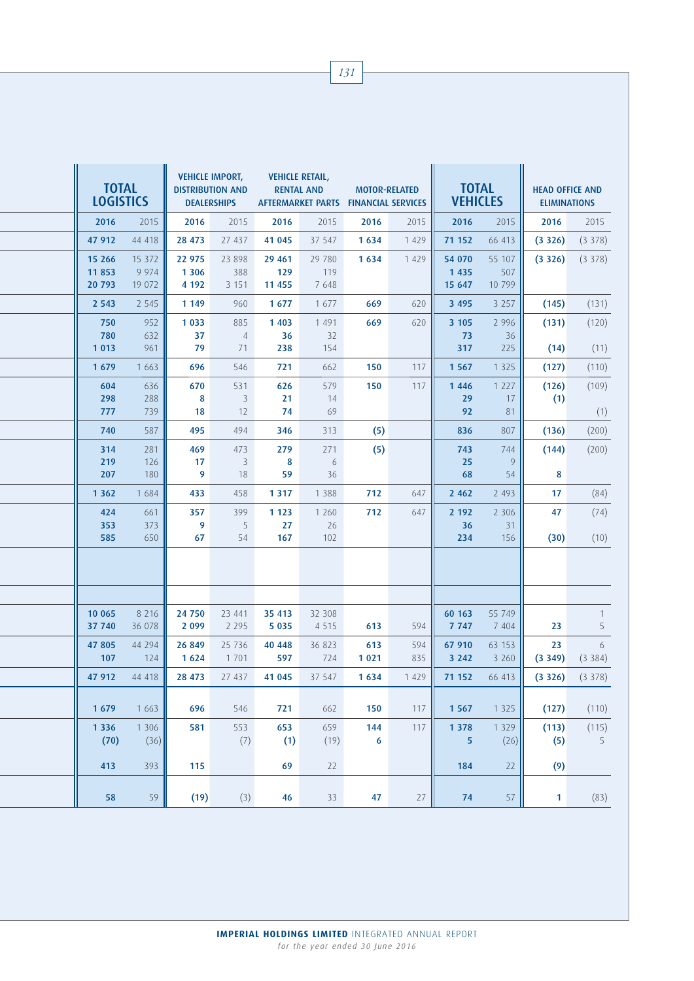| <b>TOTAL</b><br><b>LOGISTICS</b> |                                | <b>VEHICLE IMPORT,</b><br><b>DISTRIBUTION AND</b><br><b>DEALERSHIPS</b> |                            | <b>VEHICLE RETAIL,</b><br><b>RENTAL AND</b><br>AFTERMARKET PARTS FINANCIAL SERVICES |                          | <b>MOTOR-RELATED</b> |            | <b>TOTAL</b><br><b>VEHICLES</b> |                         | <b>HEAD OFFICE AND</b><br><b>ELIMINATIONS</b> |                   |  |
|----------------------------------|--------------------------------|-------------------------------------------------------------------------|----------------------------|-------------------------------------------------------------------------------------|--------------------------|----------------------|------------|---------------------------------|-------------------------|-----------------------------------------------|-------------------|--|
| 2016                             | 2015                           | 2016                                                                    | 2015                       | 2016                                                                                | 2015                     | 2016                 | 2015       | 2016                            | 2015                    | 2016                                          | 2015              |  |
| 47 912                           | 44 418                         | 28 473                                                                  | 27 437                     | 41 045                                                                              | 37 547                   | 1634                 | 1 4 2 9    | 71 152                          | 66 413                  | (3326)                                        | (3378)            |  |
| 15 26 6<br>11853<br>20 793       | 15 3 7 2<br>9 9 7 4<br>19 0 72 | 22 975<br>1 3 0 6<br>4 1 9 2                                            | 23 8 9 8<br>388<br>3 1 5 1 | 29 4 61<br>129<br>11 455                                                            | 29 780<br>119<br>7 6 4 8 | 1634                 | 1 4 2 9    | 54 070<br>1 4 3 5<br>15 647     | 55 107<br>507<br>10 799 | (3326)                                        | (3378)            |  |
| 2 5 4 3                          | 2 5 4 5                        | 1 1 4 9                                                                 | 960                        | 1677                                                                                | 1 677                    | 669                  | 620        | 3 4 9 5                         | 3 2 5 7                 | (145)                                         | (131)             |  |
| 750<br>780                       | 952<br>632                     | 1 0 3 3<br>37                                                           | 885<br>$\overline{4}$      | 1 4 0 3<br>36                                                                       | 1 4 9 1<br>32            | 669                  | 620        | 3 1 0 5<br>73                   | 2 9 9 6<br>36           | (131)                                         | (120)             |  |
| 1 0 1 3                          | 961                            | 79                                                                      | 71                         | 238                                                                                 | 154                      |                      |            | 317                             | 225                     | (14)                                          | (11)              |  |
| 1679                             | 1 6 6 3                        | 696                                                                     | 546                        | 721                                                                                 | 662                      | 150                  | 117        | 1 5 6 7                         | 1 3 2 5                 | (127)                                         | (110)             |  |
| 604<br>298<br>777                | 636<br>288<br>739              | 670<br>8<br>18                                                          | 531<br>3<br>12             | 626<br>21<br>74                                                                     | 579<br>14<br>69          | 150                  | 117        | 1446<br>29<br>92                | 1 2 2 7<br>17<br>81     | (126)<br>(1)                                  | (109)<br>(1)      |  |
| 740                              | 587                            | 495                                                                     | 494                        | 346                                                                                 | 313                      | (5)                  |            | 836                             | 807                     | (136)                                         | (200)             |  |
| 314<br>219<br>207                | 281<br>126<br>180              | 469<br>17<br>9                                                          | 473<br>3<br>18             | 279<br>8<br>59                                                                      | 271<br>6<br>36           | (5)                  |            | 743<br>25<br>68                 | 744<br>9<br>54          | (144)<br>8                                    | (200)             |  |
| 1 3 6 2                          | 1684                           | 433                                                                     | 458                        | 1 3 1 7                                                                             | 1 3 8 8                  | 712                  | 647        | 2 4 6 2                         | 2 4 9 3                 | 17                                            | (84)              |  |
| 424<br>353                       | 661<br>373                     | 357<br>9                                                                | 399<br>5                   | 1 1 2 3<br>27                                                                       | 1 2 6 0<br>26            | 712                  | 647        | 2 192<br>36                     | 2 3 0 6<br>31           | 47                                            | (74)              |  |
| 585                              | 650                            | 67                                                                      | 54                         | 167                                                                                 | 102                      |                      |            | 234                             | 156                     | (30)                                          | (10)              |  |
|                                  |                                |                                                                         |                            |                                                                                     |                          |                      |            |                                 |                         |                                               |                   |  |
| 10 065<br>37 740                 | 8 2 1 6<br>36 078              | 24 750<br>2 0 9 9                                                       | 23 441<br>2 2 9 5          | 35 413<br>5 0 3 5                                                                   | 32 308<br>4 5 1 5        | 613                  | 594        | 60 163<br>7 7 4 7               | 55 749<br>7 4 0 4       | 23                                            | $\mathbf{1}$<br>5 |  |
| 47 805<br>107                    | 44 294<br>124                  | 26 849<br>1 6 2 4                                                       | 25 7 36<br>1 7 0 1         | 40 448<br>597                                                                       | 36 823<br>724            | 613<br>1 0 2 1       | 594<br>835 | 67 910<br>3 2 4 2               | 63 153<br>3 2 6 0       | 23<br>(3349)                                  | 6<br>(3384)       |  |
| 47 912                           | 44 418                         | 28 473                                                                  | 27 437                     | 41 0 45                                                                             | 37 547                   | 1634                 | 1 4 2 9    | 71 152                          | 66 413                  | (3 326)                                       | (3378)            |  |
| 1679                             | 1 6 6 3                        | 696                                                                     | 546                        | 721                                                                                 | 662                      | 150                  | 117        | 1 5 6 7                         | 1 3 2 5                 | (127)                                         | (110)             |  |
| 1 3 3 6<br>(70)                  | 1 3 0 6<br>(36)                | 581                                                                     | 553<br>(7)                 | 653<br>(1)                                                                          | 659<br>(19)              | 144<br>6             | 117        | 1 3 7 8<br>5                    | 1 3 2 9<br>(26)         | (113)<br>(5)                                  | (115)<br>5        |  |
| 413                              | 393                            | 115                                                                     |                            | 69                                                                                  | 22                       |                      |            | 184                             | 22                      | (9)                                           |                   |  |
| 58                               | 59                             | (19)                                                                    | (3)                        | 46                                                                                  | 33                       | 47                   | $27\,$     | 74                              | 57                      | 1 <sub>1</sub>                                | (83)              |  |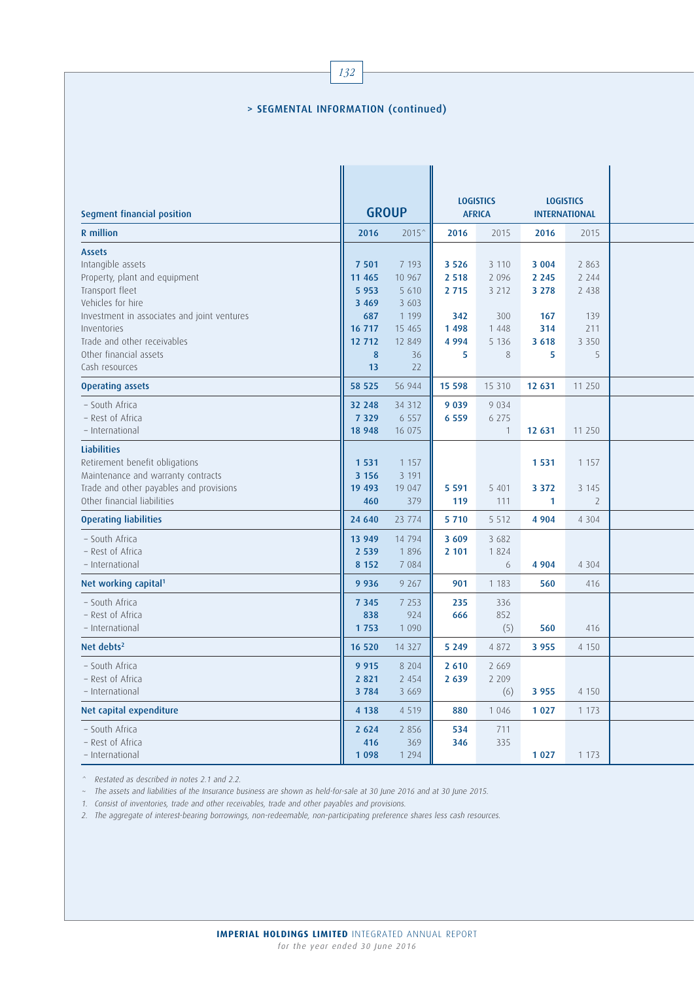## > SEGMENTAL INFORMATION (continued)

| Segment financial position                                                                                                                                                                               |                                                                   | <b>GROUP</b>                                                         | <b>LOGISTICS</b><br><b>AFRICA</b>                          |                                                            | <b>LOGISTICS</b><br><b>INTERNATIONAL</b>               |                                                        |  |
|----------------------------------------------------------------------------------------------------------------------------------------------------------------------------------------------------------|-------------------------------------------------------------------|----------------------------------------------------------------------|------------------------------------------------------------|------------------------------------------------------------|--------------------------------------------------------|--------------------------------------------------------|--|
| R million                                                                                                                                                                                                | 2016                                                              | $2015^{\circ}$                                                       | 2016                                                       | 2015                                                       | 2016                                                   | 2015                                                   |  |
| <b>Assets</b><br>Intangible assets<br>Property, plant and equipment<br>Transport fleet<br>Vehicles for hire<br>Investment in associates and joint ventures<br>Inventories<br>Trade and other receivables | 7 501<br>11 4 65<br>5 9 5 3<br>3 4 6 9<br>687<br>16 717<br>12 712 | 7 1 9 3<br>10 967<br>5 6 10<br>3 603<br>1 1 9 9<br>15 4 65<br>12 849 | 3 5 2 6<br>2 5 1 8<br>2 7 1 5<br>342<br>1 4 9 8<br>4 9 9 4 | 3 1 1 0<br>2 0 9 6<br>3 2 1 2<br>300<br>1 4 4 8<br>5 1 3 6 | 3 0 0 4<br>2 2 4 5<br>3 2 7 8<br>167<br>314<br>3 6 1 8 | 2 8 6 3<br>2 2 4 4<br>2 4 3 8<br>139<br>211<br>3 3 5 0 |  |
| Other financial assets<br>Cash resources                                                                                                                                                                 | 8<br>13                                                           | 36<br>22                                                             | 5                                                          | 8                                                          | 5                                                      | 5                                                      |  |
| <b>Operating assets</b>                                                                                                                                                                                  | 58 525                                                            | 56 944                                                               | 15 598                                                     | 15 3 10                                                    | 12 631                                                 | 11 250                                                 |  |
| - South Africa<br>- Rest of Africa<br>- International                                                                                                                                                    | 32 248<br>7 3 2 9<br>18 948                                       | 34 3 12<br>6 5 5 7<br>16 075                                         | 9 0 3 9<br>6 5 5 9                                         | 9 0 3 4<br>6 2 7 5<br>$\mathbf{1}$                         | 12 631                                                 | 11 250                                                 |  |
| <b>Liabilities</b><br>Retirement benefit obligations<br>Maintenance and warranty contracts<br>Trade and other payables and provisions<br>Other financial liabilities                                     | 1 5 3 1<br>3 1 5 6<br>19 493<br>460                               | 1 1 5 7<br>3 1 9 1<br>19 047<br>379                                  | 5 5 9 1<br>119                                             | 5 4 0 1<br>111                                             | 1531<br>3 3 7 2<br>1                                   | 1 1 5 7<br>3 1 4 5<br>$\overline{2}$                   |  |
| <b>Operating liabilities</b>                                                                                                                                                                             | 24 640                                                            | 23 774                                                               | 5 7 1 0                                                    | 5 5 1 2                                                    | 4 9 0 4                                                | 4 3 0 4                                                |  |
| - South Africa<br>- Rest of Africa<br>- International                                                                                                                                                    | 13 949<br>2 5 3 9<br>8 1 5 2                                      | 14 794<br>1896<br>7 0 8 4                                            | 3 6 0 9<br>2 101                                           | 3 6 8 2<br>1824<br>6                                       | 4 9 0 4                                                | 4 3 0 4                                                |  |
| Net working capital <sup>1</sup>                                                                                                                                                                         | 9 9 3 6                                                           | 9 2 6 7                                                              | 901                                                        | 1 1 8 3                                                    | 560                                                    | 416                                                    |  |
| - South Africa<br>- Rest of Africa<br>- International                                                                                                                                                    | 7 3 4 5<br>838<br>1753                                            | 7 2 5 3<br>924<br>1 0 9 0                                            | 235<br>666                                                 | 336<br>852<br>(5)                                          | 560                                                    | 416                                                    |  |
| Net debts <sup>2</sup>                                                                                                                                                                                   | 16 520                                                            | 14 3 2 7                                                             | 5 2 4 9                                                    | 4 8 7 2                                                    | 3 9 5 5                                                | 4 1 5 0                                                |  |
| - South Africa<br>- Rest of Africa<br>- International                                                                                                                                                    | 9 9 1 5<br>2 8 2 1<br>3784                                        | 8 2 0 4<br>2 4 5 4<br>3 6 6 9                                        | 2 6 1 0<br>2 6 3 9                                         | 2 6 6 9<br>2 2 0 9<br>(6)                                  | 3 9 5 5                                                | 4 1 5 0                                                |  |
| Net capital expenditure                                                                                                                                                                                  | 4 1 3 8                                                           | 4 5 1 9                                                              | 880                                                        | 1 0 4 6                                                    | 1 0 2 7                                                | 1 1 7 3                                                |  |
| - South Africa<br>– Rest of Africa<br>- International                                                                                                                                                    | 2 6 2 4<br>416<br>1 0 9 8                                         | 2 8 5 6<br>369<br>1 2 9 4                                            | 534<br>346                                                 | 711<br>335                                                 | 1 0 2 7                                                | 1 1 7 3                                                |  |

^ Restated as described in notes 2.1 and 2.2.

~ The assets and liabilities of the Insurance business are shown as held-for-sale at 30 June 2016 and at 30 June 2015.

1. Consist of inventories, trade and other receivables, trade and other payables and provisions.

2. The aggregate of interest-bearing borrowings, non-redeemable, non-participating preference shares less cash resources.